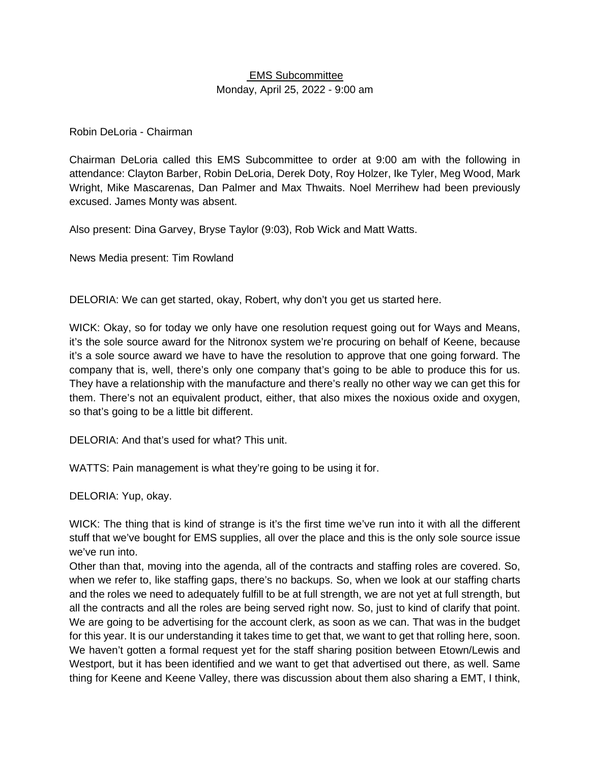## EMS Subcommittee Monday, April 25, 2022 - 9:00 am

#### Robin DeLoria - Chairman

Chairman DeLoria called this EMS Subcommittee to order at 9:00 am with the following in attendance: Clayton Barber, Robin DeLoria, Derek Doty, Roy Holzer, Ike Tyler, Meg Wood, Mark Wright, Mike Mascarenas, Dan Palmer and Max Thwaits. Noel Merrihew had been previously excused. James Monty was absent.

Also present: Dina Garvey, Bryse Taylor (9:03), Rob Wick and Matt Watts.

News Media present: Tim Rowland

DELORIA: We can get started, okay, Robert, why don't you get us started here.

WICK: Okay, so for today we only have one resolution request going out for Ways and Means, it's the sole source award for the Nitronox system we're procuring on behalf of Keene, because it's a sole source award we have to have the resolution to approve that one going forward. The company that is, well, there's only one company that's going to be able to produce this for us. They have a relationship with the manufacture and there's really no other way we can get this for them. There's not an equivalent product, either, that also mixes the noxious oxide and oxygen, so that's going to be a little bit different.

DELORIA: And that's used for what? This unit.

WATTS: Pain management is what they're going to be using it for.

DELORIA: Yup, okay.

WICK: The thing that is kind of strange is it's the first time we've run into it with all the different stuff that we've bought for EMS supplies, all over the place and this is the only sole source issue we've run into.

Other than that, moving into the agenda, all of the contracts and staffing roles are covered. So, when we refer to, like staffing gaps, there's no backups. So, when we look at our staffing charts and the roles we need to adequately fulfill to be at full strength, we are not yet at full strength, but all the contracts and all the roles are being served right now. So, just to kind of clarify that point. We are going to be advertising for the account clerk, as soon as we can. That was in the budget for this year. It is our understanding it takes time to get that, we want to get that rolling here, soon. We haven't gotten a formal request yet for the staff sharing position between Etown/Lewis and Westport, but it has been identified and we want to get that advertised out there, as well. Same thing for Keene and Keene Valley, there was discussion about them also sharing a EMT, I think,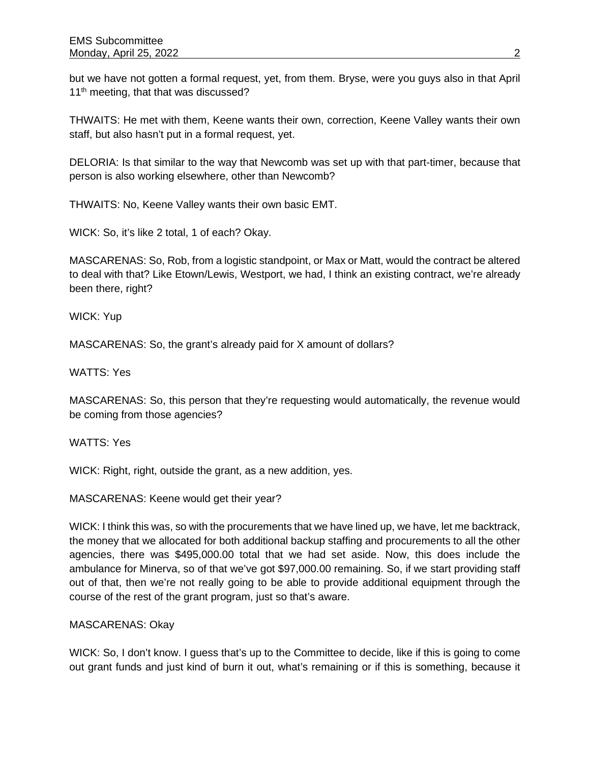but we have not gotten a formal request, yet, from them. Bryse, were you guys also in that April 11<sup>th</sup> meeting, that that was discussed?

THWAITS: He met with them, Keene wants their own, correction, Keene Valley wants their own staff, but also hasn't put in a formal request, yet.

DELORIA: Is that similar to the way that Newcomb was set up with that part-timer, because that person is also working elsewhere, other than Newcomb?

THWAITS: No, Keene Valley wants their own basic EMT.

WICK: So, it's like 2 total, 1 of each? Okay.

MASCARENAS: So, Rob, from a logistic standpoint, or Max or Matt, would the contract be altered to deal with that? Like Etown/Lewis, Westport, we had, I think an existing contract, we're already been there, right?

WICK: Yup

MASCARENAS: So, the grant's already paid for X amount of dollars?

WATTS: Yes

MASCARENAS: So, this person that they're requesting would automatically, the revenue would be coming from those agencies?

WATTS: Yes

WICK: Right, right, outside the grant, as a new addition, yes.

MASCARENAS: Keene would get their year?

WICK: I think this was, so with the procurements that we have lined up, we have, let me backtrack, the money that we allocated for both additional backup staffing and procurements to all the other agencies, there was \$495,000.00 total that we had set aside. Now, this does include the ambulance for Minerva, so of that we've got \$97,000.00 remaining. So, if we start providing staff out of that, then we're not really going to be able to provide additional equipment through the course of the rest of the grant program, just so that's aware.

### MASCARENAS: Okay

WICK: So, I don't know. I guess that's up to the Committee to decide, like if this is going to come out grant funds and just kind of burn it out, what's remaining or if this is something, because it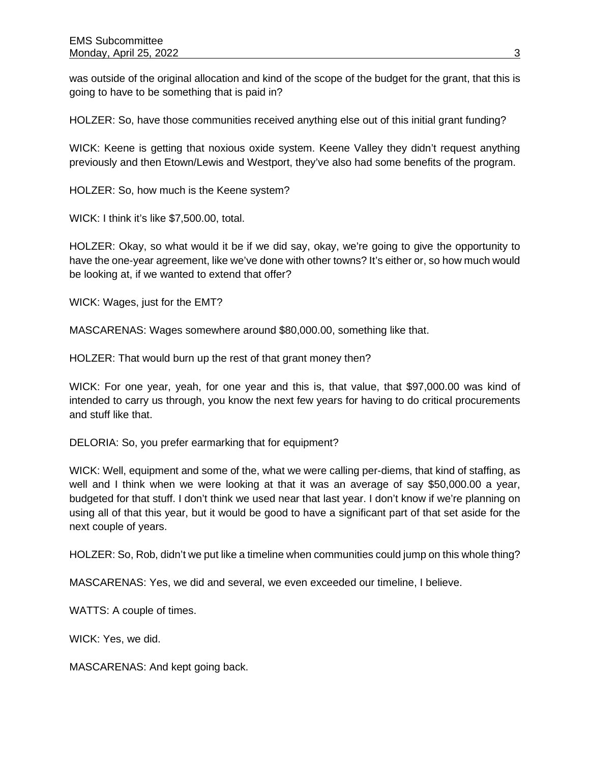was outside of the original allocation and kind of the scope of the budget for the grant, that this is going to have to be something that is paid in?

HOLZER: So, have those communities received anything else out of this initial grant funding?

WICK: Keene is getting that noxious oxide system. Keene Valley they didn't request anything previously and then Etown/Lewis and Westport, they've also had some benefits of the program.

HOLZER: So, how much is the Keene system?

WICK: I think it's like \$7,500.00, total.

HOLZER: Okay, so what would it be if we did say, okay, we're going to give the opportunity to have the one-year agreement, like we've done with other towns? It's either or, so how much would be looking at, if we wanted to extend that offer?

WICK: Wages, just for the EMT?

MASCARENAS: Wages somewhere around \$80,000.00, something like that.

HOLZER: That would burn up the rest of that grant money then?

WICK: For one year, yeah, for one year and this is, that value, that \$97,000.00 was kind of intended to carry us through, you know the next few years for having to do critical procurements and stuff like that.

DELORIA: So, you prefer earmarking that for equipment?

WICK: Well, equipment and some of the, what we were calling per-diems, that kind of staffing, as well and I think when we were looking at that it was an average of say \$50,000.00 a year, budgeted for that stuff. I don't think we used near that last year. I don't know if we're planning on using all of that this year, but it would be good to have a significant part of that set aside for the next couple of years.

HOLZER: So, Rob, didn't we put like a timeline when communities could jump on this whole thing?

MASCARENAS: Yes, we did and several, we even exceeded our timeline, I believe.

WATTS: A couple of times.

WICK: Yes, we did.

MASCARENAS: And kept going back.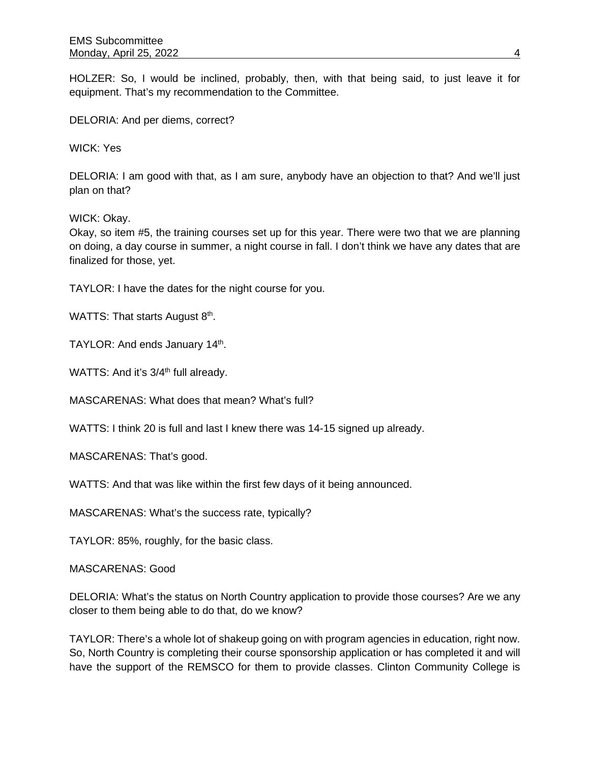HOLZER: So, I would be inclined, probably, then, with that being said, to just leave it for equipment. That's my recommendation to the Committee.

DELORIA: And per diems, correct?

WICK: Yes

DELORIA: I am good with that, as I am sure, anybody have an objection to that? And we'll just plan on that?

WICK: Okay.

Okay, so item #5, the training courses set up for this year. There were two that we are planning on doing, a day course in summer, a night course in fall. I don't think we have any dates that are finalized for those, yet.

TAYLOR: I have the dates for the night course for you.

WATTS: That starts August 8<sup>th</sup>.

TAYLOR: And ends January 14<sup>th</sup>.

WATTS: And it's 3/4<sup>th</sup> full already.

MASCARENAS: What does that mean? What's full?

WATTS: I think 20 is full and last I knew there was 14-15 signed up already.

MASCARENAS: That's good.

WATTS: And that was like within the first few days of it being announced.

MASCARENAS: What's the success rate, typically?

TAYLOR: 85%, roughly, for the basic class.

MASCARENAS: Good

DELORIA: What's the status on North Country application to provide those courses? Are we any closer to them being able to do that, do we know?

TAYLOR: There's a whole lot of shakeup going on with program agencies in education, right now. So, North Country is completing their course sponsorship application or has completed it and will have the support of the REMSCO for them to provide classes. Clinton Community College is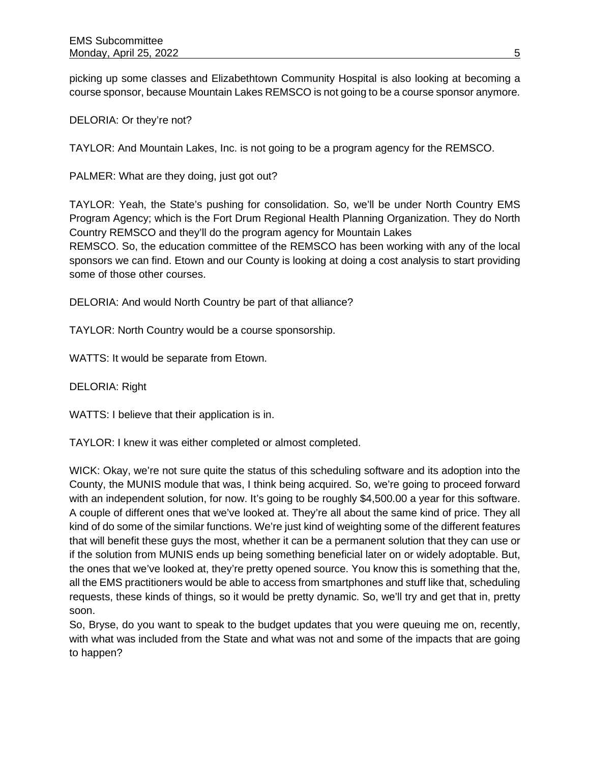picking up some classes and Elizabethtown Community Hospital is also looking at becoming a course sponsor, because Mountain Lakes REMSCO is not going to be a course sponsor anymore.

DELORIA: Or they're not?

TAYLOR: And Mountain Lakes, Inc. is not going to be a program agency for the REMSCO.

PALMER: What are they doing, just got out?

TAYLOR: Yeah, the State's pushing for consolidation. So, we'll be under North Country EMS Program Agency; which is the Fort Drum Regional Health Planning Organization. They do North Country REMSCO and they'll do the program agency for Mountain Lakes REMSCO. So, the education committee of the REMSCO has been working with any of the local sponsors we can find. Etown and our County is looking at doing a cost analysis to start providing some of those other courses.

DELORIA: And would North Country be part of that alliance?

TAYLOR: North Country would be a course sponsorship.

WATTS: It would be separate from Etown.

DELORIA: Right

WATTS: I believe that their application is in.

TAYLOR: I knew it was either completed or almost completed.

WICK: Okay, we're not sure quite the status of this scheduling software and its adoption into the County, the MUNIS module that was, I think being acquired. So, we're going to proceed forward with an independent solution, for now. It's going to be roughly \$4,500.00 a year for this software. A couple of different ones that we've looked at. They're all about the same kind of price. They all kind of do some of the similar functions. We're just kind of weighting some of the different features that will benefit these guys the most, whether it can be a permanent solution that they can use or if the solution from MUNIS ends up being something beneficial later on or widely adoptable. But, the ones that we've looked at, they're pretty opened source. You know this is something that the, all the EMS practitioners would be able to access from smartphones and stuff like that, scheduling requests, these kinds of things, so it would be pretty dynamic. So, we'll try and get that in, pretty soon.

So, Bryse, do you want to speak to the budget updates that you were queuing me on, recently, with what was included from the State and what was not and some of the impacts that are going to happen?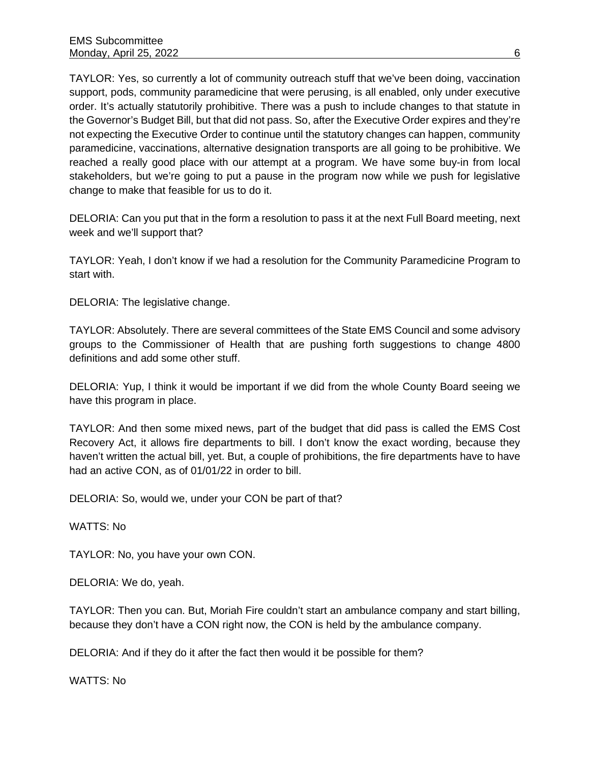TAYLOR: Yes, so currently a lot of community outreach stuff that we've been doing, vaccination support, pods, community paramedicine that were perusing, is all enabled, only under executive order. It's actually statutorily prohibitive. There was a push to include changes to that statute in the Governor's Budget Bill, but that did not pass. So, after the Executive Order expires and they're not expecting the Executive Order to continue until the statutory changes can happen, community paramedicine, vaccinations, alternative designation transports are all going to be prohibitive. We reached a really good place with our attempt at a program. We have some buy-in from local stakeholders, but we're going to put a pause in the program now while we push for legislative change to make that feasible for us to do it.

DELORIA: Can you put that in the form a resolution to pass it at the next Full Board meeting, next week and we'll support that?

TAYLOR: Yeah, I don't know if we had a resolution for the Community Paramedicine Program to start with.

DELORIA: The legislative change.

TAYLOR: Absolutely. There are several committees of the State EMS Council and some advisory groups to the Commissioner of Health that are pushing forth suggestions to change 4800 definitions and add some other stuff.

DELORIA: Yup, I think it would be important if we did from the whole County Board seeing we have this program in place.

TAYLOR: And then some mixed news, part of the budget that did pass is called the EMS Cost Recovery Act, it allows fire departments to bill. I don't know the exact wording, because they haven't written the actual bill, yet. But, a couple of prohibitions, the fire departments have to have had an active CON, as of 01/01/22 in order to bill.

DELORIA: So, would we, under your CON be part of that?

WATTS: No

TAYLOR: No, you have your own CON.

DELORIA: We do, yeah.

TAYLOR: Then you can. But, Moriah Fire couldn't start an ambulance company and start billing, because they don't have a CON right now, the CON is held by the ambulance company.

DELORIA: And if they do it after the fact then would it be possible for them?

WATTS: No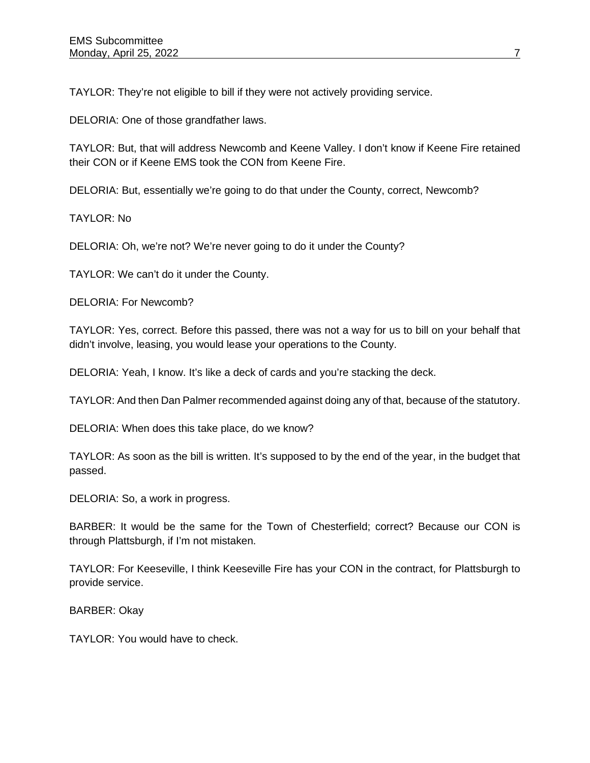TAYLOR: They're not eligible to bill if they were not actively providing service.

DELORIA: One of those grandfather laws.

TAYLOR: But, that will address Newcomb and Keene Valley. I don't know if Keene Fire retained their CON or if Keene EMS took the CON from Keene Fire.

DELORIA: But, essentially we're going to do that under the County, correct, Newcomb?

TAYLOR: No

DELORIA: Oh, we're not? We're never going to do it under the County?

TAYLOR: We can't do it under the County.

DELORIA: For Newcomb?

TAYLOR: Yes, correct. Before this passed, there was not a way for us to bill on your behalf that didn't involve, leasing, you would lease your operations to the County.

DELORIA: Yeah, I know. It's like a deck of cards and you're stacking the deck.

TAYLOR: And then Dan Palmer recommended against doing any of that, because of the statutory.

DELORIA: When does this take place, do we know?

TAYLOR: As soon as the bill is written. It's supposed to by the end of the year, in the budget that passed.

DELORIA: So, a work in progress.

BARBER: It would be the same for the Town of Chesterfield; correct? Because our CON is through Plattsburgh, if I'm not mistaken.

TAYLOR: For Keeseville, I think Keeseville Fire has your CON in the contract, for Plattsburgh to provide service.

BARBER: Okay

TAYLOR: You would have to check.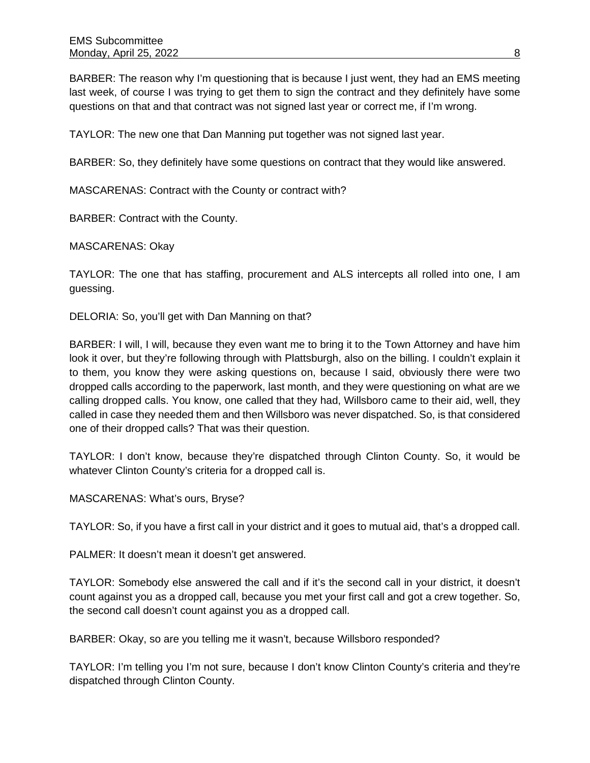BARBER: The reason why I'm questioning that is because I just went, they had an EMS meeting last week, of course I was trying to get them to sign the contract and they definitely have some questions on that and that contract was not signed last year or correct me, if I'm wrong.

TAYLOR: The new one that Dan Manning put together was not signed last year.

BARBER: So, they definitely have some questions on contract that they would like answered.

MASCARENAS: Contract with the County or contract with?

BARBER: Contract with the County.

MASCARENAS: Okay

TAYLOR: The one that has staffing, procurement and ALS intercepts all rolled into one, I am guessing.

DELORIA: So, you'll get with Dan Manning on that?

BARBER: I will, I will, because they even want me to bring it to the Town Attorney and have him look it over, but they're following through with Plattsburgh, also on the billing. I couldn't explain it to them, you know they were asking questions on, because I said, obviously there were two dropped calls according to the paperwork, last month, and they were questioning on what are we calling dropped calls. You know, one called that they had, Willsboro came to their aid, well, they called in case they needed them and then Willsboro was never dispatched. So, is that considered one of their dropped calls? That was their question.

TAYLOR: I don't know, because they're dispatched through Clinton County. So, it would be whatever Clinton County's criteria for a dropped call is.

MASCARENAS: What's ours, Bryse?

TAYLOR: So, if you have a first call in your district and it goes to mutual aid, that's a dropped call.

PALMER: It doesn't mean it doesn't get answered.

TAYLOR: Somebody else answered the call and if it's the second call in your district, it doesn't count against you as a dropped call, because you met your first call and got a crew together. So, the second call doesn't count against you as a dropped call.

BARBER: Okay, so are you telling me it wasn't, because Willsboro responded?

TAYLOR: I'm telling you I'm not sure, because I don't know Clinton County's criteria and they're dispatched through Clinton County.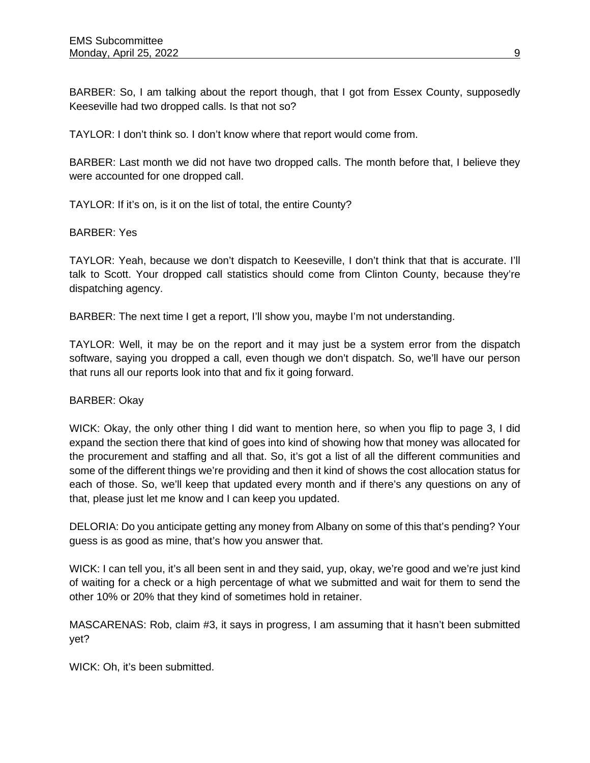BARBER: So, I am talking about the report though, that I got from Essex County, supposedly Keeseville had two dropped calls. Is that not so?

TAYLOR: I don't think so. I don't know where that report would come from.

BARBER: Last month we did not have two dropped calls. The month before that, I believe they were accounted for one dropped call.

TAYLOR: If it's on, is it on the list of total, the entire County?

### BARBER: Yes

TAYLOR: Yeah, because we don't dispatch to Keeseville, I don't think that that is accurate. I'll talk to Scott. Your dropped call statistics should come from Clinton County, because they're dispatching agency.

BARBER: The next time I get a report, I'll show you, maybe I'm not understanding.

TAYLOR: Well, it may be on the report and it may just be a system error from the dispatch software, saying you dropped a call, even though we don't dispatch. So, we'll have our person that runs all our reports look into that and fix it going forward.

### BARBER: Okay

WICK: Okay, the only other thing I did want to mention here, so when you flip to page 3, I did expand the section there that kind of goes into kind of showing how that money was allocated for the procurement and staffing and all that. So, it's got a list of all the different communities and some of the different things we're providing and then it kind of shows the cost allocation status for each of those. So, we'll keep that updated every month and if there's any questions on any of that, please just let me know and I can keep you updated.

DELORIA: Do you anticipate getting any money from Albany on some of this that's pending? Your guess is as good as mine, that's how you answer that.

WICK: I can tell you, it's all been sent in and they said, yup, okay, we're good and we're just kind of waiting for a check or a high percentage of what we submitted and wait for them to send the other 10% or 20% that they kind of sometimes hold in retainer.

MASCARENAS: Rob, claim #3, it says in progress, I am assuming that it hasn't been submitted yet?

WICK: Oh, it's been submitted.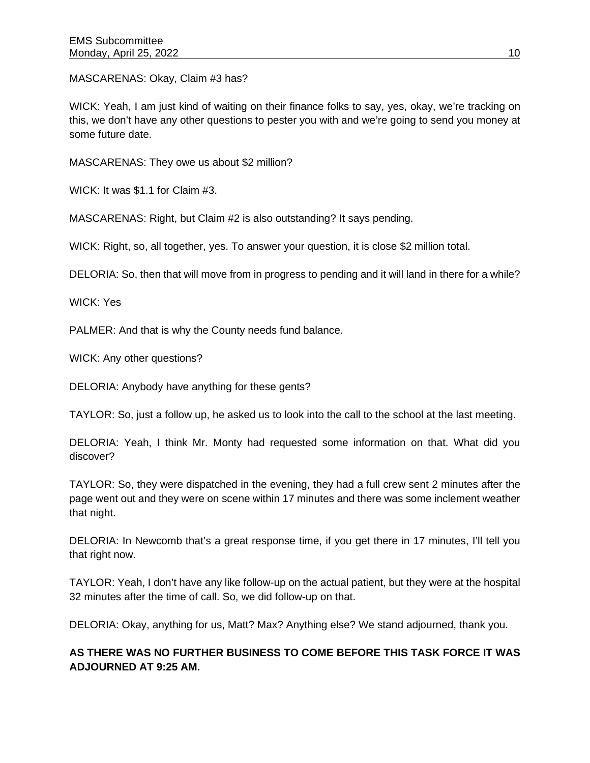MASCARENAS: Okay, Claim #3 has?

WICK: Yeah, I am just kind of waiting on their finance folks to say, yes, okay, we're tracking on this, we don't have any other questions to pester you with and we're going to send you money at some future date.

MASCARENAS: They owe us about \$2 million?

WICK: It was \$1.1 for Claim #3.

MASCARENAS: Right, but Claim #2 is also outstanding? It says pending.

WICK: Right, so, all together, yes. To answer your question, it is close \$2 million total.

DELORIA: So, then that will move from in progress to pending and it will land in there for a while?

WICK: Yes

PALMER: And that is why the County needs fund balance.

WICK: Any other questions?

DELORIA: Anybody have anything for these gents?

TAYLOR: So, just a follow up, he asked us to look into the call to the school at the last meeting.

DELORIA: Yeah, I think Mr. Monty had requested some information on that. What did you discover?

TAYLOR: So, they were dispatched in the evening, they had a full crew sent 2 minutes after the page went out and they were on scene within 17 minutes and there was some inclement weather that night.

DELORIA: In Newcomb that's a great response time, if you get there in 17 minutes, I'll tell you that right now.

TAYLOR: Yeah, I don't have any like follow-up on the actual patient, but they were at the hospital 32 minutes after the time of call. So, we did follow-up on that.

DELORIA: Okay, anything for us, Matt? Max? Anything else? We stand adjourned, thank you.

# **AS THERE WAS NO FURTHER BUSINESS TO COME BEFORE THIS TASK FORCE IT WAS ADJOURNED AT 9:25 AM.**